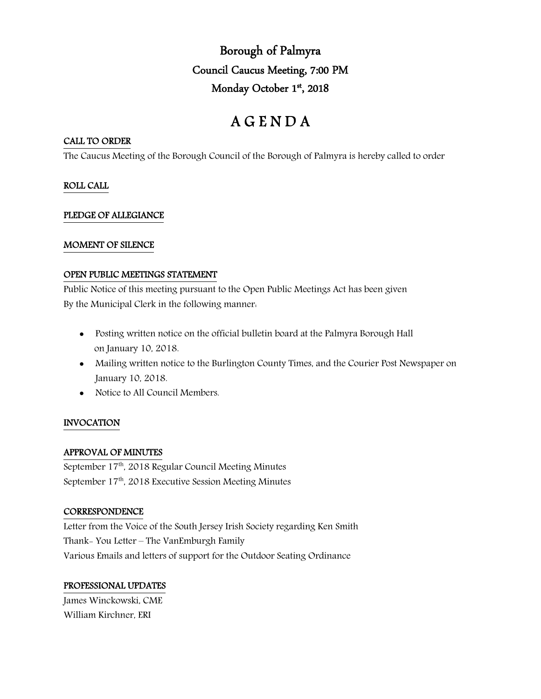Borough of Palmyra Council Caucus Meeting, 7:00 PM Monday October 1st, 2018

# A G E N D A

# CALL TO ORDER

The Caucus Meeting of the Borough Council of the Borough of Palmyra is hereby called to order

# ROLL CALL

# PLEDGE OF ALLEGIANCE

# MOMENT OF SILENCE

## OPEN PUBLIC MEETINGS STATEMENT

Public Notice of this meeting pursuant to the Open Public Meetings Act has been given By the Municipal Clerk in the following manner:

- Posting written notice on the official bulletin board at the Palmyra Borough Hall on January 10, 2018.
- Mailing written notice to the Burlington County Times, and the Courier Post Newspaper on January 10, 2018.
- Notice to All Council Members.

# INVOCATION

## APPROVAL OF MINUTES

September 17<sup>th</sup>, 2018 Regular Council Meeting Minutes September 17<sup>th</sup>, 2018 Executive Session Meeting Minutes

## **CORRESPONDENCE**

Letter from the Voice of the South Jersey Irish Society regarding Ken Smith Thank- You Letter – The VanEmburgh Family Various Emails and letters of support for the Outdoor Seating Ordinance

# PROFESSIONAL UPDATES

James Winckowski, CME William Kirchner, ERI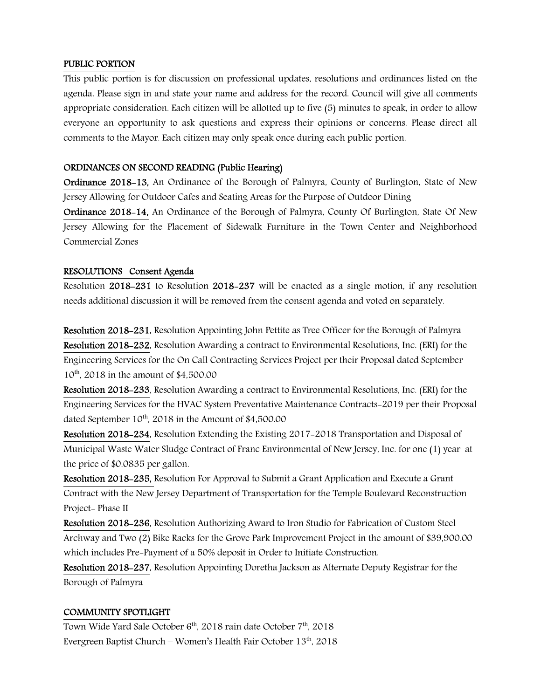## PUBLIC PORTION

This public portion is for discussion on professional updates, resolutions and ordinances listed on the agenda. Please sign in and state your name and address for the record. Council will give all comments appropriate consideration. Each citizen will be allotted up to five (5) minutes to speak, in order to allow everyone an opportunity to ask questions and express their opinions or concerns. Please direct all comments to the Mayor. Each citizen may only speak once during each public portion.

## ORDINANCES ON SECOND READING (Public Hearing)

Ordinance 2018-13, An Ordinance of the Borough of Palmyra, County of Burlington, State of New Jersey Allowing for Outdoor Cafes and Seating Areas for the Purpose of Outdoor Dining

Ordinance 2018-14, An Ordinance of the Borough of Palmyra, County Of Burlington, State Of New Jersey Allowing for the Placement of Sidewalk Furniture in the Town Center and Neighborhood Commercial Zones

#### RESOLUTIONS Consent Agenda

Resolution 2018-231 to Resolution 2018-237 will be enacted as a single motion, if any resolution needs additional discussion it will be removed from the consent agenda and voted on separately.

Resolution 2018-231, Resolution Appointing John Pettite as Tree Officer for the Borough of Palmyra Resolution 2018-232, Resolution Awarding a contract to Environmental Resolutions, Inc. (ERI) for the Engineering Services for the On Call Contracting Services Project per their Proposal dated September 10<sup>th</sup>, 2018 in the amount of \$4,500.00

Resolution 2018-233, Resolution Awarding a contract to Environmental Resolutions, Inc. (ERI) for the Engineering Services for the HVAC System Preventative Maintenance Contracts-2019 per their Proposal dated September  $10^{th}$ , 2018 in the Amount of \$4,500.00

Resolution 2018-234, Resolution Extending the Existing 2017-2018 Transportation and Disposal of Municipal Waste Water Sludge Contract of Franc Environmental of New Jersey, Inc. for one (1) year at the price of \$0.0835 per gallon.

Resolution 2018-235, Resolution For Approval to Submit a Grant Application and Execute a Grant Contract with the New Jersey Department of Transportation for the Temple Boulevard Reconstruction Project- Phase II

Resolution 2018-236, Resolution Authorizing Award to Iron Studio for Fabrication of Custom Steel Archway and Two (2) Bike Racks for the Grove Park Improvement Project in the amount of \$39,900.00 which includes Pre-Payment of a 50% deposit in Order to Initiate Construction.

Resolution 2018-237, Resolution Appointing Doretha Jackson as Alternate Deputy Registrar for the Borough of Palmyra

#### COMMUNITY SPOTLIGHT

Town Wide Yard Sale October 6<sup>th</sup>, 2018 rain date October 7<sup>th</sup>, 2018 Evergreen Baptist Church – Women's Health Fair October  $13<sup>th</sup>$ , 2018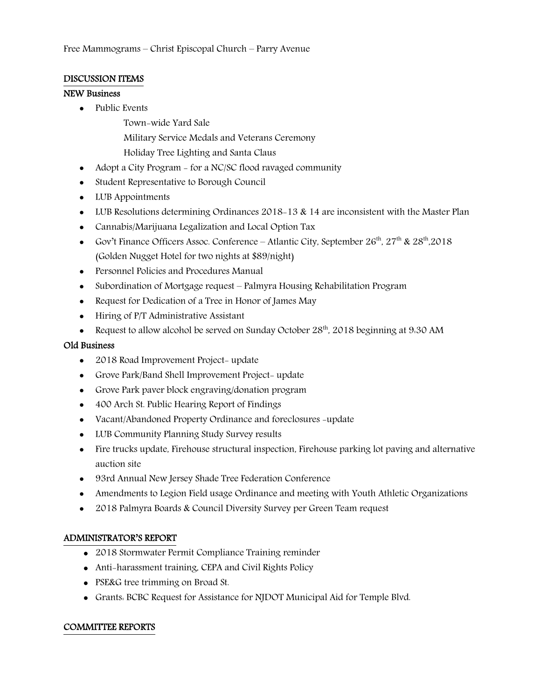# DISCUSSION ITEMS

## NEW Business

• Public Events

Town-wide Yard Sale

- Military Service Medals and Veterans Ceremony
- Holiday Tree Lighting and Santa Claus
- Adopt a City Program for a NC/SC flood ravaged community
- Student Representative to Borough Council
- LUB Appointments
- LUB Resolutions determining Ordinances 2018–13 & 14 are inconsistent with the Master Plan
- Cannabis/Marijuana Legalization and Local Option Tax
- Gov't Finance Officers Assoc. Conference Atlantic City, September  $26^{th}$ ,  $27^{th}$  &  $28^{th}$ ,  $2018$ (Golden Nugget Hotel for two nights at \$89/night)
- Personnel Policies and Procedures Manual
- Subordination of Mortgage request Palmyra Housing Rehabilitation Program
- Request for Dedication of a Tree in Honor of James May
- Hiring of P/T Administrative Assistant
- Request to allow alcohol be served on Sunday October  $28<sup>th</sup>$ , 2018 beginning at 9:30 AM

# Old Business

- 2018 Road Improvement Project- update
- Grove Park/Band Shell Improvement Project- update
- Grove Park paver block engraving/donation program
- 400 Arch St. Public Hearing Report of Findings
- Vacant/Abandoned Property Ordinance and foreclosures -update
- LUB Community Planning Study Survey results
- Fire trucks update, Firehouse structural inspection, Firehouse parking lot paving and alternative auction site
- 93rd Annual New Jersey Shade Tree Federation Conference
- Amendments to Legion Field usage Ordinance and meeting with Youth Athletic Organizations
- 2018 Palmyra Boards & Council Diversity Survey per Green Team request

# ADMINISTRATOR'S REPORT

- 2018 Stormwater Permit Compliance Training reminder
- Anti-harassment training, CEPA and Civil Rights Policy
- PSE&G tree trimming on Broad St.
- Grants: BCBC Request for Assistance for NJDOT Municipal Aid for Temple Blvd.

# COMMITTEE REPORTS